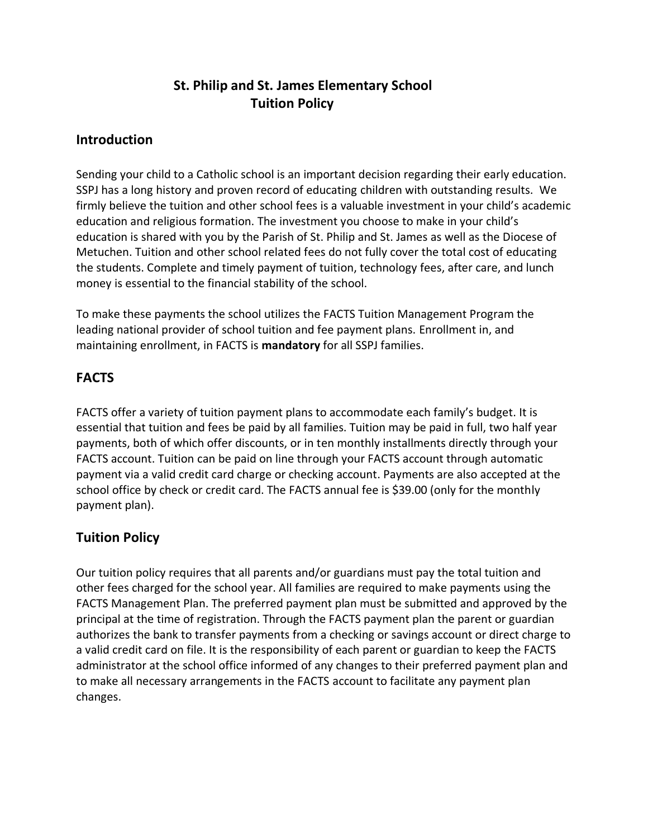# **St. Philip and St. James Elementary School Tuition Policy**

### **Introduction**

Sending your child to a Catholic school is an important decision regarding their early education. SSPJ has a long history and proven record of educating children with outstanding results. We firmly believe the tuition and other school fees is a valuable investment in your child's academic education and religious formation. The investment you choose to make in your child's education is shared with you by the Parish of St. Philip and St. James as well as the Diocese of Metuchen. Tuition and other school related fees do not fully cover the total cost of educating the students. Complete and timely payment of tuition, technology fees, after care, and lunch money is essential to the financial stability of the school.

To make these payments the school utilizes the FACTS Tuition Management Program the leading national provider of school tuition and fee payment plans. Enrollment in, and maintaining enrollment, in FACTS is **mandatory** for all SSPJ families.

### **FACTS**

FACTS offer a variety of tuition payment plans to accommodate each family's budget. It is essential that tuition and fees be paid by all families. Tuition may be paid in full, two half year payments, both of which offer discounts, or in ten monthly installments directly through your FACTS account. Tuition can be paid on line through your FACTS account through automatic payment via a valid credit card charge or checking account. Payments are also accepted at the school office by check or credit card. The FACTS annual fee is \$39.00 (only for the monthly payment plan).

# **Tuition Policy**

Our tuition policy requires that all parents and/or guardians must pay the total tuition and other fees charged for the school year. All families are required to make payments using the FACTS Management Plan. The preferred payment plan must be submitted and approved by the principal at the time of registration. Through the FACTS payment plan the parent or guardian authorizes the bank to transfer payments from a checking or savings account or direct charge to a valid credit card on file. It is the responsibility of each parent or guardian to keep the FACTS administrator at the school office informed of any changes to their preferred payment plan and to make all necessary arrangements in the FACTS account to facilitate any payment plan changes.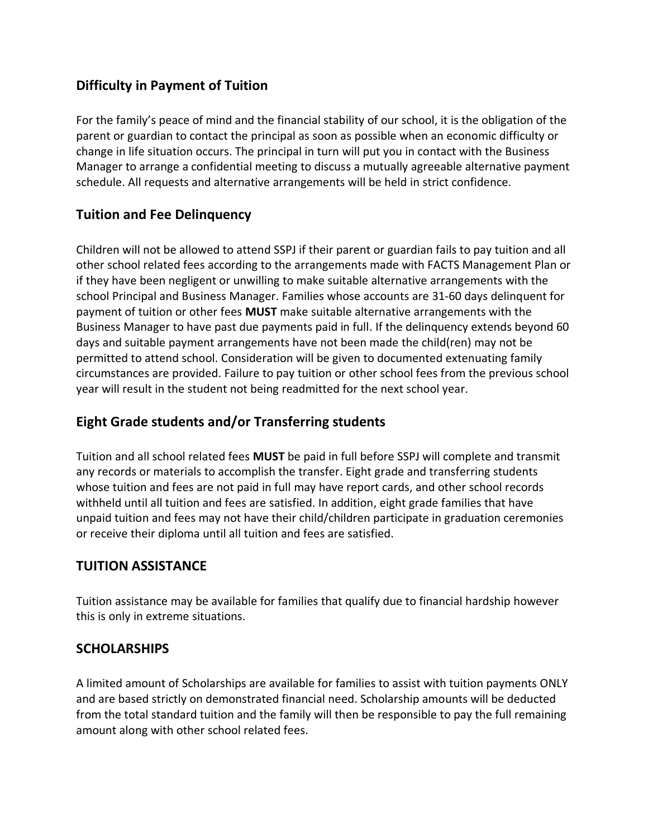# **Difficulty in Payment of Tuition**

For the family's peace of mind and the financial stability of our school, it is the obligation of the parent or guardian to contact the principal as soon as possible when an economic difficulty or change in life situation occurs. The principal in turn will put you in contact with the Business Manager to arrange a confidential meeting to discuss a mutually agreeable alternative payment schedule. All requests and alternative arrangements will be held in strict confidence.

### **Tuition and Fee Delinquency**

Children will not be allowed to attend SSPJ if their parent or guardian fails to pay tuition and all other school related fees according to the arrangements made with FACTS Management Plan or if they have been negligent or unwilling to make suitable alternative arrangements with the school Principal and Business Manager. Families whose accounts are 31-60 days delinquent for payment of tuition or other fees **MUST** make suitable alternative arrangements with the Business Manager to have past due payments paid in full. If the delinquency extends beyond 60 days and suitable payment arrangements have not been made the child(ren) may not be permitted to attend school. Consideration will be given to documented extenuating family circumstances are provided. Failure to pay tuition or other school fees from the previous school year will result in the student not being readmitted for the next school year.

# **Eight Grade students and/or Transferring students**

Tuition and all school related fees **MUST** be paid in full before SSPJ will complete and transmit any records or materials to accomplish the transfer. Eight grade and transferring students whose tuition and fees are not paid in full may have report cards, and other school records withheld until all tuition and fees are satisfied. In addition, eight grade families that have unpaid tuition and fees may not have their child/children participate in graduation ceremonies or receive their diploma until all tuition and fees are satisfied.

#### **TUITION ASSISTANCE**

Tuition assistance may be available for families that qualify due to financial hardship however this is only in extreme situations.

#### **SCHOLARSHIPS**

A limited amount of Scholarships are available for families to assist with tuition payments ONLY and are based strictly on demonstrated financial need. Scholarship amounts will be deducted from the total standard tuition and the family will then be responsible to pay the full remaining amount along with other school related fees.